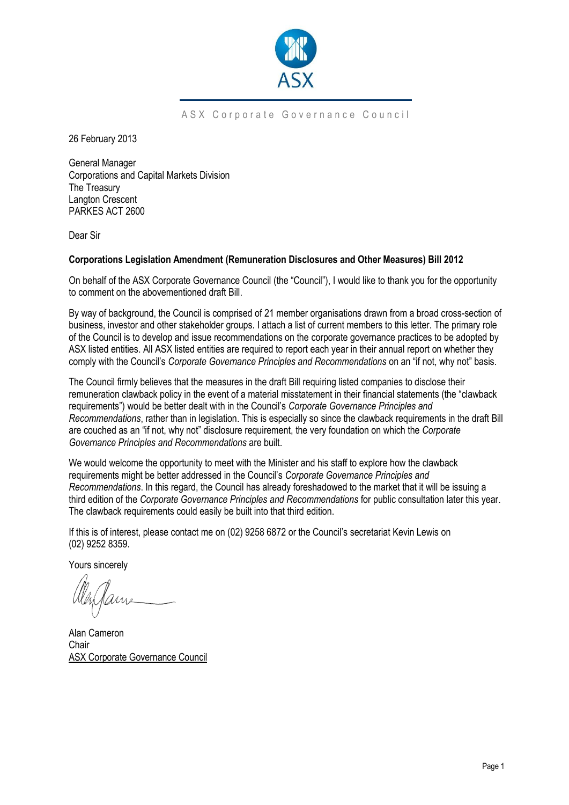

## ASX Corporate Governance Council

26 February 2013

General Manager Corporations and Capital Markets Division The Treasury Langton Crescent PARKES ACT 2600

Dear Sir

## **Corporations Legislation Amendment (Remuneration Disclosures and Other Measures) Bill 2012**

On behalf of the ASX Corporate Governance Council (the "Council"), I would like to thank you for the opportunity to comment on the abovementioned draft Bill.

By way of background, the Council is comprised of 21 member organisations drawn from a broad cross-section of business, investor and other stakeholder groups. I attach a list of current members to this letter. The primary role of the Council is to develop and issue recommendations on the corporate governance practices to be adopted by ASX listed entities. All ASX listed entities are required to report each year in their annual report on whether they comply with the Council's *Corporate Governance Principles and Recommendations* on an "if not, why not" basis.

The Council firmly believes that the measures in the draft Bill requiring listed companies to disclose their remuneration clawback policy in the event of a material misstatement in their financial statements (the "clawback requirements") would be better dealt with in the Council's *Corporate Governance Principles and Recommendations*, rather than in legislation. This is especially so since the clawback requirements in the draft Bill are couched as an "if not, why not" disclosure requirement, the very foundation on which the *Corporate Governance Principles and Recommendations* are built.

We would welcome the opportunity to meet with the Minister and his staff to explore how the clawback requirements might be better addressed in the Council's *Corporate Governance Principles and Recommendations*. In this regard, the Council has already foreshadowed to the market that it will be issuing a third edition of the *Corporate Governance Principles and Recommendations* for public consultation later this year. The clawback requirements could easily be built into that third edition.

If this is of interest, please contact me on (02) 9258 6872 or the Council's secretariat Kevin Lewis on (02) 9252 8359.

Yours sincerely

Alan Cameron Chair ASX Corporate Governance Council